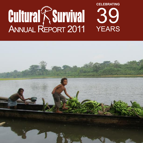# **Cultural ASUrvival** 39 YEARS **Celebrating**

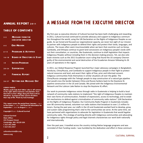#### **ANNUAL RE PORT 2 0 11**

#### **TABL E OF CONT E NTS**

| $2 - 3$  | <b>MESSAGE FROM THE</b>          |
|----------|----------------------------------|
|          | <b>EXECUTIVE DIRECTOR</b>        |
| $4-5$    | <b>OUR MISSION</b>               |
| $6 - 15$ | <b>PROGRAMS &amp; ACTIVITIES</b> |
|          | 16-18 BOARD OF DIRECTORS & STAFF |
| 19       | <b>INTERN PROGRAM</b>            |
|          | 20-24 SUPPORTERS                 |
| 25       | <b>FINANCIAL REPORT</b>          |
|          | 26-27 GETTING OUR MESSAGE OUT    |

#### **COvER PhOTO:**

**Miskitu youth help their father (who is off camera to the right) deliver bananas and plantains from their farm to their village along the Patuca River, honduras. A proposed dam upriver threatens their way of life. Photo by Sara Santiago.**

**This report covers the period from January 1 , 2 0 1 1 to december 3 1 , 2 0 1 1 and financial information for September 1 , 2 0 1 0 to August 3 1 , 2 0 1 1 .**

**Copyright © 2 0 1 1 Cultural Survival**

**Cultural Survival Main Office: 215 Prospect Street Cambridge, MA 02139 USA t: 617.441.5400 f: 617.441.5417**

**culturalsurvival@cs.org www.cs.org**

## **A MESSAgE FROM ThE ExECUTivE diRECTOR**

My first year as executive director of Cultural Survival has been both challenging and rewarding. In 2011, Cultural Survival continued to provide advocacy and support to Indigenous communities throughout the world, using the UN Declaration on the Rights of Indigenous Peoples as our guide. As we honed and focused our organizational capacity, we never lost sight of our mission to partner with Indigenous people to defend their rights and protect their lands, languages, and cultures. The issues often seem insurmountable when we learn that countries such as Kenya, Cambodia, and Ethiopia continue to grant land concessions on Indigenous people's lands without their consultation, or countries, like Guatemala, continue to draft legislation that impacts Indigenous Peoples without including them in the decision-making process. Yet, we also celebrate victories such as the 2011 Ecuadorian court ruling that found the US company Chevron guilty of the environmental and social destruction of the Ecuadorian Amazon following its 26 years of operations in the region.

In 2011, our Global Response Program launched four major advocacy campaigns in Bangladesh, Honduras, China/Russia, and Cambodia to support Indigenous people in their fight to protect natural resources and land, and assert their rights of free, prior and informed consent. Indigeous communities finds themselves in similar situations all over the globe. The China/Russia campaign with the Telengit people to stop construction of a natural gas pipeline that would cross the border between China and Russia harkens back to the Keystone XL pipeline construction in the US and Canada. We joined with the Indigenous Environmental Network and the Lubicon Lake Nation to stop the Keystone XL effort.

Our work to promote Indigenous voices through radio in Guatemala is helping to build a local network of community radio stations to implement "the right of Indigenous Peoples to maintain their own forms of communication, freedom of expressions, access to technology, and to establish mechanisms to defend against criminalization of community radio stations" (UN Declaration on the Rights of Indigenous Peoples). Our Community Radio Program in Guatemala includes over 80 community-owned, volunteer-run radio stations that broadcast to over 1.5 million listeners. During the past year, our staffs in the US and Guatemala worked hard to develop, grow, and sustain radio programming that's vital to the communities we serve. At the same time, we have partnered with organizations to advocate for legislation in Guatemala that would legalize community radio. This strategy of working directly with Indigenous communities and advocating for Indigenous rights through policy and legal channels characterizes our work both nationally and internationally.

Over the past year, I travelled across the country visiting Native language programs and was reminded of their funding needs. I was humbled by the dedication and effort in these communi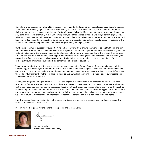ties, where in some cases only a few elderly speakers remained. Our Endangered Languages Program continues to support five Native American language partners—the Wampanoag, the Euchee, Northern Arapaho, Sac and Fox, and Alutiiq—in their community-based language revitalization efforts. We successfully raised funds for summer camp language immersion programs, after-school programs, curriculum development, and other needed materials. We recognize that language revitalization is multigenerational, so we seek to support a variety of educational settings in these communities. At the national level, we worked with other organizations to raise awareness and educate policymakers about language revitalization. This advocacy work helps strengthen federal and philanthropic funding for language work.

Our bazaars continue to successfully support artists and cooperatives from around the world in selling traditional and contemporary crafts, which in turn generates income for Indigenous communities. Eight bazaars were held in New England and featured Indigenous artists as part of an educational campaign to promote an understanding of the relationships between art, land, and culture. While we provide an opportunity for artists to sell their goods and build sustainable livelihoods, the proceeds also financially support Indigenous communities in their struggles to defend their lands and rights. This rich exchange through artisans and cultural art is a cornerstone of our public education.

You may have noticed some of the recent changes we have made in the Cultural Survival Quarterly and on our website (www.cs.org). We have begun to share more stories from the field about the people we work with and those impacted by our programs. We want to introduce you to the extraordinary people who risk their lives every day to make a difference in the world by fighting for the rights of Indigenous Peoples. We have also been using social media to get our message out and stay connected to supporters.

Funding our programs and organization in 2011 was challenging in the aftermath of an economic downturn. Like many small nonprofits, we are strategically figuring out how to achieve our mission and carry on the work that is critically important to the Indigenous communities we support and partner with. Advancing our agenda while preserving our financial viability will require new models and methods even as the issues that define Indigenous Peoples' struggles remain the same, if not increase. For this reason, I am deeply committed to Cultural Survival's mission and goals, and to the Indigenous people we serve. Cultural Survival remains an internationally recognized organization that is dedicated to human rights.

I want to extend deep appreciation to all of you who contribute your voices, your passion, and your financial support to make Cultural Survival's work possible.

In spirit we work together for the benefit of the people and Mother Earth,



Suzanne Benally *(Navajo and Santa Clara Tewa)*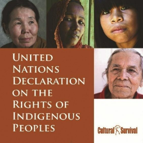

**UNITED NATIONS DECLARATION ON THE RIGHTS OF INDIGENOUS PEOPLES** 



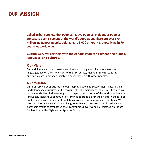## **OUR MiS S iON**

**Called Tribal Peoples, First Peoples, Native Peoples, Indigenous Peoples constitute over 5 percent of the world's population. There are over 370 million Indigenous people, belonging to 5,000 different groups, living in 70 countries worldwide.**

**Cultural Survival partners with Indigenous Peoples to defend their lands, languages, and cultures.**

### **Our vision:**

Cultural Survival works toward a world in which Indigenous Peoples speak their languages, live on their land, control their resources, maintain thriving cultures, and participate in broader society on equal footing with other peoples.

### **Our Mission:**

Cultural Survival supports Indigenous Peoples' actions to secure their rights to their lands, languages, cultures, and environments. The majority of Indigenous Peoples live in the world's last biodiverse regions and speak the majority of the world's endangered languages. Indigenous communities continue to stand up for their rights in the face of endless and grave human rights violations from governments and corporations. We provide advocacy and capacity-building to make sure their voices are heard and support their efforts to strengthen their communities. Our work is predicated on the UN Declaration on the Rights of Indigenous Peoples.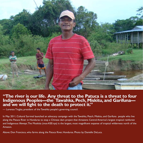

# **"The river is our life. Any threat to the Patuca is a threat to four Indigenous Peoples—the Tawahka,Pech, Miskitu, and Garifuna— and we will fight to the death to protect it."**

— Lorenzo Tinglas, president of the Tawahka people's governing council.

In May 2011, Cultural Survival launched an advocacy campaign with the Tawahka, Peach, Miskitu, and Garifuna people who live along the Patuca River in Honduras to stop a Chinese dam project that threatens Central America's largest tropical rainforest and Indigenous lifeways.The Moskitia (mos-KEE-tya) is the largest, most magnificent expanse of tropical wilderness north of the Amazon.

Above: Don Francisco, who farms along the Patuca River, Honduras. Photo by Danielle DeLuca.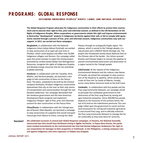## **PR OgR AMS : gL OBAL RE SPONSE**

#### **dE F E NdiNg iNdigE NOUS PE OPL E S' RighTS, LANdS, ANd NATURAL RE SOURCE S**

**The Global Response Program advocates for Indigenous communities in their efforts to protect their environ**ment and to exercise their right to free, prior and informed consent, as defined in the UN Declaration on the **Rights of Indigenous Peoples. When corporations or governments violate this right and impose environmental**ly destructive "development" projects in Indigenous territories against their will, or fail to comply with agree**ments reached through a process of free, prior and informed consent, Indigenous communities may seek our support. In 2011, we carried out these campaigns:**

**Bangladesh:** In collaboration with the National Indigenous Union (Jatiya Adivasi Parishad), we worked to stop construction of an open-pit coal mine in Phulbari, which could displace and affect over 50,000 Indigenous villagers and farmers. Our campaign called upon the prime minister to reject the mining project promoted by London-based Global Coal Management Resources, recognize the rights of Indigenous Peoples, and develop energy resources that do not contribute to global warming.

**Honduras:** In collaboration with the Tawahka, Pech, Miskitu, and Garifuna peoples, we launched a campaign to halt construction of dams on the Patuca River. The dams, scheduled to be built by the Chinese company Sinohydro, threaten Indigenous communities downstream that rely on the river as their only means of transportation and communication through the vast Moskitia wilderness. Our campaign demanded that the Honduras government and the Inter-American Development Bank recognize and implement Indigenous Peoples' right to free, prior and informed consent for dam construction on the Patuca River.

**China/Russia:** In collaboration with the Telengit people of Russia's Altai Republic, we launched a campaign to stop construction of a pipeline that would transport natural gas from Siberia to China, crossing the Ukok

Plateau through an ecologically fragile region. The plateau, which is sacred to the Telengit people, is a natural park and a UNESCO World Heritage site. The project also threatened nearby Kanas National Park on the Chinese side of the border. Our letters pressed Russian and Chinese leaders to reroute the pipeline to prevent environmental destruction and desecration of a region sacred to the Telengit people.

**USA/Canada:** At the request of the Indigenous Environmental Network and the Lubicon Lake Nation of Canada, we joined the campaign to stop construction of the Keystone XL pipeline, which would carry crude oil from the Tar Sands of Alberta, Canada, across many Native American lands to the Gulf Coast.

**Cambodia:** In collaboration with Kuy people and the Prey Lang Community Network, our campaign aimed to persuade the Cambodian government to halt destruction of the Prey Lang forest by mining and agro-industrial companies. Some 200,000 Kuy people depend on the resources of this primary forest, the last of its kind on the Indochinese peninsula. Our campaign called upon the government to cancel and ban land concessions for mining and industrial agriculture in and around Prey Lang, and to officially authorize the Prey Lang Community Network to manage the forest sustainably as they have done for centuries.

**We celebrated successes in several past Global Response campaigns. In Panama, the National Assembly overturned laws that would have facilitated mining in Ngöbe territories. In Papua New Guinea, the parliament revoked amendments to the environmental law that had denied Indigenous landowners the right to sue corporations for damages to their properties or livelihoods. In the Philippines, a mining company's law suit against Indigenous anti-mine organizers in Didipio was dropped. Success!**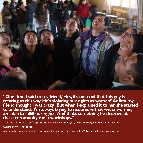

**"One time I said to my friend, 'Hey,it's not cool that this guy is** treating us this way. He's violating our rights as women!' At first my<br>friend thought I was crazy. But when I explained it to her, she started **to understand. I'm always trying to make sure that we,as women, are able to fulfill our rights. And that's something I've learned at these community radio workshops."**

— Brenda Sucely Garcia (Tz'utujil), age 19, from San Pedro La Laguna, Solola, explaining her experience attending Cultural Survival workshops.

Above: Radio volunteers attend a radio content production workshop on HIV/AIDS in Quetzaltenango, Guatemala.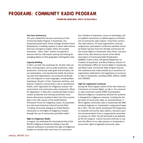# **PROgRAMS: COMMUNiTy RAdiO PROgRAM**

**PROMOT iNg iNdigE NOUS vOiCE S iN gUAT E MALA**

#### **Five-Year Anniversary**

This year marked the five-year anniversary of the Community Radio Program in Guatemala. Our Guatemala-based team, led by manager Anselmo Xunic (Kaqchiquel), is building capacity in select radio stations that have emerged as leaders within the broader movement. These "pilot" stations are geared to become hubs for information sharing and training for emerging stations in their geographic and linguistic areas.

#### **Capacity-Building**

In 2011, we held five workshops for 18 pilot radio stations, covering topics such as audio production, video production, community radio goals and principles, citizen participation, and reproductive health. By partnering with local organizations, we produced and broadcast 155 programs in seven languages, including Mam, Kaqchiquel, Q'eqchi', K'iche', Poqomam, Garifuna, and Spanish. Programs covered topics such as reproductive health, voter registration for Indigenous women, the environment, and community radio movement's efforts for legalization. In May 2011, Guatemala Radio Project content production and training coordinator Cesar Gomez (Pocomam) traveled to New York City to participate in the 10th session of the United Nations Permanent Forum for Indigenous Issues. He presented at a side event hosted by Cultural Survival titled "Creating community dialogue on United Nations Declaration on the Rights of Indigenous Peoples through the use of community-controlled media."

#### **Right to Indigenous Media**

In August, we celebrated the International Day of the World's Indigenous People by holding a two-day national conference to promote the right of Indigenous Peoples to maintain their own forms of communica-

tion, freedom of expression, access to technology, and to establish mechanisms to defend against criminalization of community radio stations. Forty-three community radio stations, 29 social organizations, and two congressmen participated. Conference panelists included Andres Sanchez from the UN High Commission for the Human Rights in Guatemala, Oscar Perez; vice-president of the Latin American branch of the World Association of Community Radio Broadcasters (AMARC); Frank La Rue, UN Special Rapporteur on Freedom of Expression; and Nery Rodenas, director of the Archbishop's Office for Human Rights in Guatemala; and Mark Camp, Community Radio Program director. The conference was made possible by a consortium of organizations dedicated to the legalization of community radio in Guatemala, including COMG, SERJUS, CENAP, and CODISRA.

#### **Fight for Legalization Continues**

During the 143rd regular session of the Inter-American Commission on Human Rights, an ally in the community radio movement named CONIC (Coordinadora Nacional Indígena y Campesina) declared the systematic disregard for Indigenous interests, including the illegal status of community radio, as unconstitutional. A bill to legalize community radio in Guatemala, Bill 4087, remained stagnant on Guatemala's congressional agenda in 2011. This bill, which would grant FM frequencies to nonprofit community radio stations, received a positive recommendation from a congressional committee on January 14, 2010. The bill still needs to be debated by the full congress. Cultural Survival continues to support the efforts of our radio partners in Guatemala to secure their rights to legalized community radio.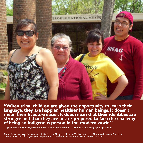

**"When tribal children are given the opportunity to learn their language, they are happier, healthier human beings.It doesn't mean their lives are easier.It does mean that their identities are stronger and that they are better prepared to face the challenges of being an Indigenous person in the modern world."**

— Jacob Manatowa-Bailey, director of the Sac and Fox Nation of Oklahoma's Sauk Language Department

Above: Sauk Language Department: (L-R) Orvena Gregory, Christine Williamson, Katie Grant, and Mosiah Bluecloud.<br>Cultural Survival's three-year grant supported 20 hours a week for their master apprentice team.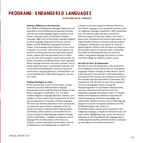# **PROgRAMS: E NdANgE RE d L ANgUAgE S**

**RE viT AL iziNg NAT ivE L ANgUAgE S**

#### **Making a Difference in the Classroom**

Since 2008 our Endangered Languages Program has collaborated on local fundraising and advocacy priorities with our grassroots language program partners at the Euchee Language Project, the Northern Arapaho Language Lodge, Qik'rtarmiut Alutiit Language Program, the Sauk Language Department of the Sac and Fox Nation, and the Wôpanâak Language Reclamation Project. Local language project directors, in turn, serve as advisers to our work. Cultural Survival supports our partners in writing proposals and organizing outreach events—efforts that have generated over \$1 million since the start of the program. Grants from private, corporate, foundation, and federal donors have supported Native language immersion education activities, such as master-apprentice teams, and provided materials such as preschool and kindergarten classroom equipment and furniture, language grammars, teaching books, curriculum development, afterschool programs, and summer camps.

#### **Getting Washington to Listen**

At the national level, Cultural Survival again co-sponsored the June 2011 National Native Language Revitalization Summit with the National Alliance to Save Native Languages in Washington, D.C. The effort enabled Indigenous language advocates, teachers, and speakers to share model program approaches for teaching new generations of speakers of Native languages. The event also allowed attendees to share personal stories about the value of Native languages to the US Senate and House of Representatives Appropriations Committees, which authorize annual federal discretionary funding for tribal language programs throughout the United States. In addition to enjoying a day of language films and discussions at the Library of Congress, summit participants visited nearly a third of all appropriators the following day on Capitol Hill.

Cultural Survival also helped the National Alliance to Save Native Languages craft a proposed executive order on Indigenous language revitalization. With cooperation from the National Indian Education Association, National Congress of American Indians, and nearly a dozen other educational and cultural organizations, we urged President Obama to mandate extensive federal interagency collaboration and support for tribal language programs. While he did not adopt our proposal, the president signed an executive order in December that called for improving education for American Indians, citing Native language instruction in schools and tribal colleges as critical to student success.

#### *We Still Live Here: Âs Nutayuneân*

*We Still Live Here: Âs Nutayuneân*, a film directed by Anne Makepeace and produced with our Endangered Languages Program manager Jennifer Weston, had its public premiere in January 2011 at the Santa Barbara International Film Festival, and continued its journey to film festivals internationally before its November 2011 broadcast on PBS. *We Still Live Here* tells an extraordinary story of language recovery among the Wampanoag Nation of southeastern Massachusetts, and stars Cultural Survival's partners from the Wôpanâak Language Reclamation Project. In October, Weston and Makepeace joined the Corporation for Public Broadcasting, Interactive Knowledge, the Independent Television Service, and 12 tribal language programs to launch a companion website to the film, OurMotherTongues.org. Visitors to OurMotherTongues.org can send e-postcards in five Indigenous languages, navigate an interactive map, and watch videos highlighting songs, stories, and personal reflections on the foundational role languages play in reinforcing tribal identity, self-determination, sovereignty, and religious and ceremonial practices.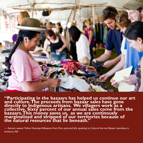

**"Participating in the bazaars has helped us continue our art and culture.The proceeds from bazaar sales have gone directly to Indigenous artisans. We villagers work as a collective. Sixty percent of our annual sales come from the bazaars.This money saves us, as we are continously marginalized and stripped of our territories because of the natural resources that lie beneath."**

*—* Aymara weaver Felicia Huarsaya Vellasante from Peru, pictured left, speaking to Cultural Survival Bazaar attendees in Amherst, MA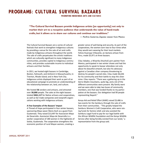## **PROgRAMS: C UL T URAL SURvivAL BAzAARS**

**PROMOT iNg iNdigE NOUS ART S ANd C UL T URE S**

**"The Cultural Survival Bazaars provide Indigenous artists [an opportunity] not only to market their art to a receptive audience that understands the value of hand-made crafts, but it allows us to share our cultures and continue our traditions."**

*—* Porfirio Gutierrez, Zapotec weaver from Mexico

The Cultural Survival Bazaars are a series of cultural festivals that work to strengthen Indigenous cultures by providing a venue for the sale of art and crafts made by Indigenous artisans throughout the world. The sale of crafts perpetuates the artistic traditions which are culturally significant to many Indigenous communities, provides capital to Indigenous communities, and provides sustainable income to individual artisans and their families.

In 2011, we hosted eight bazaars in Cambridge, Boston, Falmouth, and Amherst in Massachusetts; in Tiverton, Rhode Island; and in New York City. Indigenous artists displayed their work as part of an educational campaign to promote an understanding of the relationship between art, land, and culture.

We hosted **56** vendors and artisans, and attracted over **30,000** people. The sales at the eight bazaars totaled **\$461,117** for Native artisans and cooperatives, as well as fair trade companies and nonprofit organizations working with Indigenous artisans.

#### **A Few Examples of the Bazaars' Impact**

A Thread of Hope participated in four winter bazaars, sponsoring Maya waver Maria Xoch as a guest from Guatemala. They raised \$13,497 for Asociacion Maya de Desarrollo. Asociacion Maya de Desarrollo is a worker cooperative of 180 women in the highlands of Solola, Guatemala. The cooperative strengthens the economic position of rural Mayan women, creating a

greater sense of well-being and security. As part of the cooperatives, the women earn two to four times what they would earn weaving for their local markets. Felicia Huarsaya Villasante, an Aymara artisan from Peru, made \$5,971 at three bazaars.

Cilau Valadez, a Wixarika (Huichol) yarn painter from Mexico, participated in two winter shows and had the opportunity to speak to bazaar attendees not only about his beautiful artwork, but also his advocacy against a Canadian silver company threatening to destroy his people's sacred sites. Cilau made \$6,636 for his community and their battle to stop the silver mine. Cilau reports: "There was a gathering up in the Sierra Madre mountains, quite big, and a lot of the different communities were present. My family went and we were able to take two buses of community members, one that was funded thanks to my participation at the bazaars. Our delegation had 90 people representing Nayarit."

Kenya Aid and Relief Effort (KARE) raised \$3,486 in two events for the Samburu through the sale of crafts from their communities. "This greatly helped the Samburu Women's Craft Cooperative, who were raising funds for famine relief, and also assisted the Samburu Legal Fund to pay for our legal battle with the African Wildlife Foundation and the Kenya Wildlife Service after being forcibly evicted from our lands," a representative from the group said.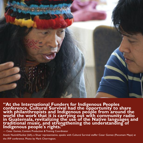

**"At the International Funders for Indigenous Peoples conference, Cultural Survival had the opportunity to share with philanthropists and Indigenous people from around the world the work that it is carrying out with community radio in Guatemala, revitalizing the use of the Native languages and traditional music, and strengthening the understanding of Indigenous people's rights."**

— Cesar Gomez, Content Production & Training Coordinator

Anank NuninkNunkai (left), a Shuar representative, speaks with Cultural Survival staffer Cesar Gomez (Pocomam Maya) at the IFIP conference. Photo by Mark Cherrington.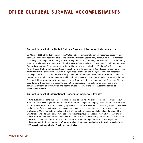# **OT hE R C UL T UR AL S URvivAL AC C OMPL iS hME NT S**

#### **Cultural Survival at the United Nations Permanent Forum on Indigenous Issues**

On May 20, 2011, at the 10th session of the United Nations Permanent Forum on Indigenous Issues in New York, Cultural Survival hosted an official side event titled "Creating community dialogue on the UN Declaration on the Rights of Indigenous Peoples (UNDRIP) through the use of community-controlled media." Moderated by Suzanne Benally, executive director of Cultural Survival, panelists included Cultural Survival staff member Cesar Gomez (Pocomam) of Guatemala, Cultural Survival board member Les Malezer (Gabi Gabi) of Australia, and Kenneth Deer (Mohawk) of Canada. Cesar spoke about how the Community Radio Project reflects many of the rights stated in the declaration, including the right of self-expression and the right to maintain Indigenous languages, cultures, and traditions. He also explained how community radio stations inform their listeners of these rights, through programming produced by Cultural Survival and through the training of station volunteers. Cesar ended his presentation with one urgent request from the Indigenous community of Guatemala: That in accordance with the rights laid out in the declaration, the radio spectrum should be recognized as the communal property of communities, and not the private property of the elite. **Watch the session at vimeo.com/25113119.**

#### **Cultural Survival at International Funders for Indigenous Peoples**

In June 2011, International Funders for Indigenous Peoples held its 10th annual conference in Oneida, New York. Cultural Survival organized two sessions on Grassroots Indigenous Language Revitalization and Free, Prior, and Informed Consent. In addition to being a participant, Cultural Survival also played a major role as the official media partner for the conference, interviewing participants and documenting the event through video and photography. Major foundations, including the Swift Foundation, the Joshua Mailman Foundation, and the Christensen Fund—to name only a few—sat down with Indigenous organizations from all over the world to discuss priorities, common interests, and goals for the future. You can see footage of keynote speakers, panel discussions, plenary sessions, interviews, and a series of three-minute pitches for fundable projects by Indigenous organizations at **vimeo.com/culturalsurvival/videos. And read Cultural Survival's interview with IFIP's executive director, Evelyn Arce here: goo.gl/fjz6a.**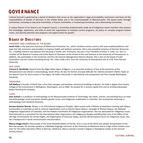# **gOvE R NANC E**

Cultural Survival is governed by a board of directors that serves as the organization's legal accountability mechanism and bears all the responsibilities of boards of directors in the United States and in the Commonwealth of Massachusetts. The board works through committees, including an Executive Committee, a Finance Committee, a Fundraising Committee, and a Nominating Committee.

A unique feature of our board is our Program Council, a committee predominantly made up of Indigenous board members who possess the knowledge, experience, and skills to assist the organization to evaluate current programs, set policy on complex program-related issues, and identify potential new programs and opportunities for growth.

### **B OARd OF diR E C T OR S**

#### PRESIDENT AND CHAIRMAN OF THE BOARD

**Sarah Fuller** is the executive chairman of Millennium Prevention Inc., which combines serious science with web-enabled platforms and apps that link consumers and providers to improve health and wellness outcomes. She is also president emeritus of Decision Resources Inc., a leading research and advisory firm focusing in health care. Previously, she was a Vice President at Arthur D. Little, Inc. She is a member of the Board of Trustees and of the Board of Overseers at the School of Arts and Sciences at the University of Pennsylvania. In addition, she participates in the Huntsman and the Life Sciences Management Advisory Boards. She is also on the board of Cytel Corporation and the Forbes Consulting Group. Ms. Fuller holds a B.A. from the University of Pennsylvania and an A.M. from Harvard University.

#### VICE CHAIR

**Vincent O. Nmehielle,** Ikwerre from the Niger Delta region of Nigeria, is an associate professor of law at the University of the Witwatersrand Law School in Johannesburg, South Africa. He was the former principal defender for Liberian president Charles Taylor at the Special Court for Sierra Leone in The Hague. He holds a doctorate in international and comparative law from George Washington University.

#### TREASURER

**Jeff Wallace** is founder of North Star, a firm that manages and develops commercial buildings in Boston. He holds a degree from Huxley College of the Environment in Bellingham, Washington, and an MBA. He worked for a venture capital firm and an architect/developer before founding his company.

#### CLERK

**Jean Jackson** is a professor of anthropology at the Massachusetts Institute of Technology. Her books, articles, and teaching focus on medical anthropology, social and ethnic identity, gender issues, and Indigenous mobilization in Colombia. She received her doctorate in anthropology from Stanford University.

**Karmen Ramírez Boscán,** Wayuu, is an international Indigenous Peoples' rights activist with a lifetime of experience working with Wayuu communities in Colombia as well as national organizations such as Sütsüin Jiyeyu Wayuu—Strength of Women Wayuu, the National Indigenous Organization of Colombia, and the Andean Coordinator of Indigenous Organizations. She has advocated for Indigenous issues internationally as a consultant for the International Labor Organization, the Indigenous Peoples and Minorities Unit at the Office of the UN High Commissioner for Human Rights, the Organization of American States, and the UN Permanent Forum on Indigenous Issues. She has a background in social communication and journalism.

**Marcus Briggs-Cloud** is Miccosukee of the Great Maskoke Nation of Florida, and is a son of the Wind Clan people and grandson of the Bird Clan people. He recently worked as a Maskoke language instructor at the University of Oklahoma and as a high school student counselor for the Indian Education Office in Norman, Oklahoma. Marcus earned a master's degree in theological studies at the Harvard Divinity School.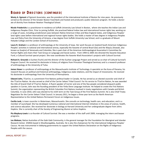### **B OARd OF diR E C T OR S (C ONT iNUE d)**

**Westy A. Egmont** of Egmont Associates, was the president of the International Institute of Boston for nine years. He previously served as the director of the Greater Boston Food Bank and hosted and produced a public television program. He holds a doctorate of divinity from Andover Newton Theological School.

**Nicole Friederichs** is a practitioner-in-residence at Suffolk University Law School in Boston, where she teaches the Indian Law and Indigenous Peoples Clinic. Prior to joining Suffolk, she practiced federal Indian law and international human rights law, working on a range of cases, including jurisdictional cases between Native American tribes and New England states, and Indigenous Peoples' land rights cases before international and regional human rights bodies. She holds a master of laws degree in Indigenous Peoples Law and Policy from the University of Arizona, a law degree from Suffolk University Law School, and is a graduate of Mount Holyoke College and the London School of Economics.

**Laura R. Graham** is a professor of anthropology at the University of Iowa. Her work focuses on lowland South American Indigenous Peoples' activities in national and international arenas, especially the Xavante of central Brazil (Ge) and the Wayúu (Arawak, also known as Guajiro) of Venezuela and Colombia. She is past chair of the American Anthropological Association's Committee for Human Rights and chairs their Task Group on Language and Social Justice. From 1994 to 2005 she directed the Xavante Education Fund, a Cultural Survival special project. She now coordinates the Xavante Warã Association's projects with Cultural Survival.

**Richard A. Grounds** is Euchee (Yuchi) and the director of the Euchee Language Project and served as co-chair of Cultural Survival's Program Council. He received his doctorate in history of religions from Princeton Theological Seminary and is a research professor of anthropology at the University of Tulsa.

**James Howe** is a professor of anthropology at the Massachusetts Institute of Technology. A specialist on the Kuna of Panama, his research focuses on political and historical anthropology, Indigenous-state relations, and the impact of missionaries. He received his doctorate in anthropology from the University of Pennsylvania.

**Edward John,** Tl'azt'en, is a prominent First Nations political leader in Canada. He has served as an elected councilor and chief of the Tl'azt'en Nation. He also served as chief of the Carrier Sekani Tribal Council. For his service to Tl'azt'en Nation, he was awarded the title of Grand Chief of Tl'azt'en Nation. A fluent speaker of Carrier and one of the few people considered eloquent public speakers in Carrier, John was the founding president of the Yinka Dene Language Institute. He helped to create the First Nations Summit, the organization representing the British Columbia First Nations involved in treaty negotiations with Canada and British Columbia. In June 2010, John was elected to his ninth term on the Task Group of the First Nations Summit. He is also Chief Treaty Negotiator for the Carrier Sekani Tribal Council. In January 2011, he began a three year term as the North American Representative to the United Nations Permanent Forum on Indigenous Issues.

**Cecilia Lenk**, is town councilor in Watertown, Massachusetts. She consults on technology, health care, and education; and is a member of Launchpad. She has developed numerous national and international Internet initiatives in the areas of science, health, and science education. She received her doctorate in biology at Harvard University and her undergraduate degree from Johns Hopkins. She is currently chair of the Society of Engineering Alumni at Johns Hopkins.

**Pia Maybury-Lewis** is co-founder of Cultural Survival. She was a member of the staff until 2009, managing the intern and bazaar programs.

**Les Malezer,** Native Australian of the Gabi Gabi Community, is the general manager for the Foundation for Aboriginal and Islander Research Action (FAIRA) based in Woolloongabba, Australia. He is also the chairperson for the international Indigenous Peoples' Caucus. He was instrumental in lobbying governments to support the United Nations Declaration on the Rights of Indigenous Peoples with the caucus.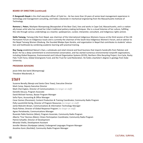#### **BOARD OF DIRECTORS (continued)**

**P. Ranganath Nayak** is the chief executive officer of Cytel Inc.. He has more than 24 years of senior-level management experience in technology and management consulting, and holds a doctorate in mechanical engineering from the Massachusetts Institute of Technology.

**Ramona L. Peters**, Mashpee Wampanoag (Nosapocket of the Bear Clan), lives and works in Cape Cod, Massachusetts, and is a nationally known artist who has revived her tribe's traditional pottery-making techniques. She is a visual historian of her culture, fulfilling this role through various undertakings as a teacher, spokesperson, curator, interpreter, consultant, and Indigenous rights activist.

**Stella Tamang,** Tamang tribe from Nepal, was chairman of the International Indigenous Womens Caucus at the third session of the UN Permanent Forum on Indigenous Issues and is currently the chairman of the South Asia Indigenous Women's Forum, and an advisor to the Nepal Tamang Women Ghedung. She founded Bikalpa Gyan Kendra, and organization in Nepal that contributes to students' education and livelihoods by combining academic learning with practical training.

**Roy Young** established Nature's Own, a wholesale and retail mineral and fossil business that imports handcrafts from Pakistan and Brazil. He has a deep commitment to environmental conservation, and has started numerous environmental nonprofit organizations, including Global Response, Environmental and Cultural Organization Systems (ECOS), Northern Ohio Recycling Project, Eco-Cycle, Rocky Flats Truth Force, Global Greengrants Fund, and the Trust for Land Restoration. He holds a bachelor's degree in geology from Duke University.

#### **PROGRAM ADVISORS**

jessie little doe baird (Wampanoag) Theodore Macdonald, Jr.

### **STAFF**

Suzanne Benally *(Navajo and Santa Clara Tewa)*, Executive Director Mark Camp, Deputy Executive Director Mark Cherrington, Director of Communications *(no longer on staff)* Danielle DeLuca, Program Associate David Michael Favreau, Bazaar Program Manager Sofia Flynn, Accounting & Office Manager Cesar Gomez *(Pocomam)*, Content Production & Training Coordinator, Community Radio Program Polly Laurelchild-Hertig, Director of Program Resources *(no longer on staff)* Jamie Malcolm-Brown, Communications & Information Technology Manager Paula Palmer, Director of Global Response Program *(no longer on staff)* Agnes Portalewska, Communications Manager Rosendo Pablo Ramirez *(Mam)*, Program Associate, Community Radio Program Alberto 'Tino' Recinos *(Mam)*, Citizen Participation Coordinator, Community Radio Program Patrick Schaefer, Director of Development Miranda Vitello, Development Assistant Jennifer Weston *(Hunkpapa Lakota)*, Endangered Languages Program Manager Ancelmo Xunic *(Kachikel)*, Community Radio Program Manager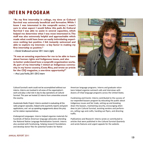## **iNT E R N PR OgR AM**

**"As my first internship in college, my time at Cultural Survival was extremely beneficial and formative.While I knew I was interested in the nonprofit sector, I wasn't sure in what aspect I would follow this path. At Cultural Survival I was able to assist in several capacities, which helped me determine what I was most interested in.The staff was also extremely helpful and approachable which made what could have been an easily intimidating experience nothing but positive. I felt instantly welcomed and able to explore my interests**—**a key factor in making my first internship so positive."**

—Derek Smallwood summer 2011 intern *(right)*

**"It was an amazing experience for me to be able to learn about human rights and Indigenous issues, and also to better understand how a nonprofit organization works. As part of my internship I visited an Indigenous community in my home country, Costa Rica, and wrote an article for the** *CSQ* **magazine, a one-time opportunity!"**

—Ana Lucía Fariña,2011-2012 intern



Cultural Survival's work could not be accomplished without our interns. Interns are involved in all areas of the organization's work and play a vital role in day-to-day operations at Cultural Survival. This year we hosted 22 interns from universities around the country.

*Guatemala Radio Project:* Interns assisted in evaluating all the radio program episodes, helped write quarterly reports and grant applications, and set up speaking engagements about the project for station representatives.

*Endangered Languages*: Interns helped organize materials for hundreds of Native American language advocates attending the National Native Language Revitalization Summit. Interns also assisted with fundraising, helping research foundations and develop donor files for potential funders for Native

American language programs. Interns and graduate volunteers helped organize outreach calls and interviews with dozens of tribal language programs across the United States.

*Fundraising and Events*: Interns contributed to the success of our expanded bazaars program by educating the public about Indigenous issues and fair trade, setting up and breaking down the bazaars, maintaining security, encouraging attendees to join Cultural Survival, assisting vendors and performers, selling rugs and crafts, handing out flyers, and directing traffic.

*Publications and Research:* Interns wrote or contributed to articles that were published in the *Cultural Survival Quarterly* and wrote features and urgent appeals for the website.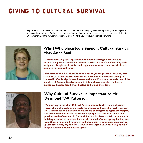# **giviNg T O C UL T UR AL S URvivAL**

Supporters of Cultural Survival continue to make all our work possible, by volunteering, writing letters to governments and corporations,offering ideas, and providing the financial resources needed to carry out our mission. In 2011 we increased the number of supporters by 420. **Thank you for your support of our work.**



### **Why IWholeheartedly Support Cultural Survival Mary Anne Saul**

**"If there were only one organization to which I could give my time and resources, my choice would be Cultural Survival. Its mission of working with Indigenous Peoples to fight for their rights and to make their own choices is absolutely crucial right now.**

**I first learned about Cultural Survival over 35 years ago when I took my high school social studies classes into the Peabody Museum of Anthropology at Harvard in Cambridge, Massachusetts and found Pia Maybury-Lewis, one of the founders of Cultural Survival, eager to talk with us about the challenges Indigenous Peoples faced. I was hooked and joined the effort."**



### **Why Cultural Survival is Important to Me Desmond T.W. Patterson**

**"Supporting the work of Cultural Survival dovetails with my social justice vision where all people in the world have honor and have their rights respected. Cultural Survival has a worldwide focus on Indigenous rights, sovereignty, and self-determination that arms my life purpose to serve the needs of all precious souls of our world. Cultural Survival has been a vital component in building advocacy for me and for a world in need of more agency for the voices of those who are not forgotten and have endured continuity in a changing global community. My ability to serve in this organization has brought me a deeper sense of love for human rights."**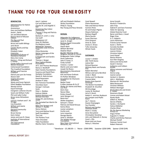# **T hANk yOU F OR yOUR gE NE R OS iT y**

#### **BENEFACTOR**

Administration for Native Americans Anonymous Gary and Kathleen Bahlkow Jessie L. Baird Jan and Mark Balcom Barona Band of Mission Indians The Bay and Paul Foundation Bruce and Judith Billings Jane Bunin Carolyn Byerly and Kay McGraw Elizabeth Cabot Caipirinha<br>Foundation/Cultures of<br>Resistance Network Mary Ann Camp Donna L. Ching and Richard F. Leman Cynda Collins Arsenault and Marcel Arsenault Cottonwood Foundation The Crawford Foundation William and Francine<br>Crawford Patrick and Lynn De Freitas Sharon Doll Virginia Drywater- Whitekiller Westy and Susan Egmont Elliott Badgley Foundation Wendy Emrich Equal Exchange Evergreen Lutheran Church Sarah and William Fuller Phil and Lydia Furber Grace Jones Richardson Trust Laura R. Graham and T. M.<br>Scruggs Lisa Graustein William and Jeanie<br>Graustein Harvard Community Relations Bruce Harvey Karin Holser James and June N. Howe Institute of International Education The International Foundation

Jean E. Jackson Carl and Marcia Keil Charles M. and Angeliki V. Keweenaw Bay Indian Community Thomas F. King and Patricia L. Parker Barbara H. and S. J. Levy Hal Litoff Makepeace LLC Jesse W. Markow Pia Maybury-Lewis Mildred M. Simmons Charitable Lead Annuity Trust Olivia Mutombo Native Languages of the Americas P. Ranganath and Sandra Nayak Thomas J. Nerger New England Biolabs Foundation Jill E. and Thomas Newhouse Nancy S. Nordhoff Open Society Foundations Susanna and David Place Quitiplas Foundation Naomi R. Roht-Arriaza David Rosenstein Andrew P. Saito San Francisco Foundation Ukumbwa Sauti George F. Schnack Scola Peter L. Sheldon Kathryn Sikkink Kristina Simmons and Michael Sheridan Teresa M. and Anthony Smith The Sociedad San Martin De Porres Mary Gay Sprague and William T. Hassler Nancy Stetson Terry and Melissa Stuart Swift Foundation Thai Link The Pentera Trust Theo Chocolate Tides Foundation Martha Claire Tompkins

Jeff and Elizabeth Wallace Winky Foundation Philip D. Young Roy Young and Rosa Venezia

#### **PATRON**

Advocates for Indigenous<br>California Language Survival Janet K. Amighi Barbara Appel Irrevocable Living Trust Hanne Beck William Bernthal Stephan Beyer Boulder Meeting of the Religious Society of Friends Bridgewater State College Anne Cadenasso John P. Camp, Jr. Cindy Carlisle Victoria J. Carter Martin and June Cobin Joseph De Rivera Documentary Educational Resources Kirk and Karen Endicott Fit Perfect Windows Foundation for Shamanic<br>Studies Beebe Frazer G Allen Andreas & Co LP Walter W. Haines and Mary<br>Lou Peck Doris Hass Nance Hikes Embry Howell Jantz Morgan LLC Baine Kerr Walter Kingsbery Samuel C. Kinser Patricia and David Kirouac Karina Kloos Louise Lamphere Cecilia Lenk Larry Lewarton George Martin Janet U. McAlpin The Middle Passage Foundation New Hope International Ministries, Inc.

Carol Newell Elaine Nonneman Pete and Patricia Palmer Carmen Perez Kit and Evelyn Pilgrim Shayne Robinson Barbara Rogoff Maria Sauzier Susan Sherman Chris Simpson Anne St. Goar Jessica E. Straus Tufts University Whole Foods

#### **SUSTAINER**

Louise T. Ambler ARC Thrift Stores Julene Bair Richard Bauman Whitney Beals and Pamela<br>Esty Robert Bernthal Wilmar and Lorna Bernthal Linda C. Black Shirley and Tim Blancke Frances Boler Boston Area Spanish Exchange The Boston Foundation Elizabeth M. Brumfiel WS Brundage Louise M. Burkhart Jerry D. Busch Robert C. and Ann Buxbaum Jim Campen and Phyllis Ewen Jay T. Caturia Duane Champagne Fay Chandler Richard and Carolyn Clemmer-Smith Mark E. Crosby Anne Deruyttere Christopher Donahue John and Deborah A. Dorsey Carol L. Ellis Bryan and Lois Feuer Nancy E. Fleischer

Anne Forsyth Nicole B. Friederichs John Fries Gabriel P. and Sara Frommer Helen W. Gjessing Global Diversity Fund Byron and Mary J. Good Roger Gray H. S. Halperin Laura Halvorson Francie Lynne Hansen Susan J. Herlin Cornelia Herzfeld Donald Hindley Leanne Hinton Christine Hubert Louis Kampf Navina Khanna Sue Ellen Kingsley Seena and Danny Kohl David F. Kremen Catherine and Colleen<br>Kunkel Wilma Leinonen and Richard Hogue Donna Long Joanne Lyman Herbert A. Masters John L. Matthews Mariana M. McClanahan Mela Restaurant Christian Militeau William Moninger Nicola Moscufo and Kristin<br>K. Leader Rosemary Mudd Connie and Robert Mutel Randy Muth Gilbert G. Nichols Dennis O'Reilly Sandra J. Occhipinti Felicia Oldfather Charles Oliver On the Avenue Marketing Group LLC Angus Parker Augustin H. Parker Charlie and Shirley Paterson Michael Perloff Petersen Family Fund Robert Petersen

\* Benefactor - (\$1,000.00 + ) Patron - (\$500-\$999) Sustainer (\$250-\$499) Sponsor (\$100-\$249)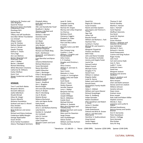Katharine M. Preston and John Bingham Xavid W. Pretzer Raymond James Charitable Endowment Fund Penelope Rich Steven Rock Tiffany and Jeff Sandholm Sara Blair Winter Foundation Lou Scharpf Allegra Snyder Jane M. Starkey Nathan Stephenson Harry A. Strunk Gayatri Thampy Kathryn S. Tholin Terry Vogt Ann von Mehren Kirsten Waerstad and Dharmesh Shah John F. Walker Bertie J. Weddell Richard Weinberg White Mountain Creamery Catherine M. Williams Evelyn Wolfson Karen Yust Steven Zuckerman and Paula

#### **SPONSOR**

Tom P. and Ruth Abeles Benjamin Abrams Kenneth Adkisson Joelle Adlerblum Shuaib Ahmad Hilary M. Ainger Sharon Albrecht Alchemy Foundation Graham and Jean D. Alvord Elias Amidon Ann Anderson Neal Anderson and Janice<br>Stutts Richard and Elaine Andrews Frederique Apffel-Marglin George Appenzeller Susan Arnott Arntz Family Foundation Asbury Theological Seminary

Keith Ball and Diana Morabito Ofer and Daniella Bar-Yosef Bradford C. Barber Thomas J. Barfield and Donna Wilker Barbara J. Barnard David Barvenik Kevin D. Batt Jeri Bayer Dinah Bear John Becker Barbara Bennett and Michael Chapman Richard and Made Berg Ruth J. Berkheiser Howard B. and Deborah J.<br>Bernstein Carol Bernthal and Byron Rot Johanna Biebesheimer Michael Blackmore Susan Bomalaski Nancy Bonvillain Judith B Boucher Clare L. Boulanger Erika E. Bourguignon Helen Bourne Markley H. Boyer and Barbara Millen Susan L. Bradford Ann L. Bragdon Bonnie Bright Arik and Sally Brissenden Sherry P. Broder Alan R. Bromberg Lisa D. Brooks Delaine Brown Rebecca Buchanan John and Agnes Burke Kathy Burke Martha Bushnell Jerry S. and Barbara Buttrey Judy Butzine Gordon G. Campbell Jim Carlstedt John B. Carman Kyle Carney Juliet Carpenter Winston Cavert and Carol Witte

Elizabeth Atkins

Janet R. Celick Cengage Learning Deborah Challis Norman M. Chapin Murray and Linley Chapman Ira Chernus Nicholas Clinch Clemency Coggins Elizabeth H. Coker Barbara Collier Pom and Rita Collins E Colson Mariella Colvin and Will Toor Don Conway-Long Cynthia C. Cook William J. Coughlin and Ronald Bedard Asho Craine E. P. Creehan Douglas and Christina L. Crist Alma Cristina William H. and Jean G.<br>Crocker Sean Cronin Malcolm A. Cross Carolyn A. Cunningham Judith Curby and Gayle Smalley Scott David Alison E. Davis Deidre Dawson Jennifer Dawson Larry L. Dekker Benjamin DeTroy Cyndra Dietz Joseph Difillippo Nick K. DiMatteo Estelle Disch Michael Dittmar William A. Doebele Mary Ann Donegan and Timothy Gray Michael Donham and Louise McMurray Mary and Jim Downton Serge Dreyer John Dunkelberger Adrian Durbin William and Katy Durham Timothy Earle

David Eck Regina M. Edmonds Susan Enowitz Naomi and Alan Epstein Jane Fajans and Terence S. Turner Sigo Falk James Fall Brenda Farnell William and Barbara L. Fash Seymour Fass Cynthia K. Fischer Michael M. and Susann L.<br>Fischer Margaret Fitzpatrick Flowers and Bones Beth Fluke John and Diane Forsdale Ron and Mary Forthofer Jeremy and Angela Foster Laurie Fox Samuel Freilich Robert French Michael Frome Douglas P. Fry Daniel Furst William A. Galison Brigette Gallet Israel N. Garcia Robert and Judith Gass Ronald Geatz Generations Family Health Center Helen C. Gildred William and Laura Glasner Richard Gnaedinger Peter D. Goldberg Felipe Gonzales Robert Goodland Ellen Goodman and Robert L. Levey James H. Goulder Deborah Grant Linda Greenhouse Edward and Brita B. Grover John A. and Mercedes<br>Guarnaccia Steinthor V. Gudmundsson Greg Guirard James Hagen Andreas Halbach

Thomas D. Hall Patrick Handley Martha S. Hansen Sean J. Hartzell Carol Hayman Wolfhart Heinrichs Eva Hersh Josiah M. Heyman Sue Hilton Susan Hinshon Dennis L. Holeman and Jeanette Sill-Holeman Jean Holmblad Michael H. Horn Richard A. Horvitz David Howenstein Luanne and Greg Hudson Roger Hunka John Hunt Carl and Lorena Hyde Joan A. Hyra Judith T. Irvine Anderson Isaacs David Ives Margaret Jackson Doranne and Jerome Jacobson Karin A. Jacobson and Robert Seeman Nora Jacquez Cheri and Keith Jameson Denise and Ervin Jindrich Willene Johnson Zanette Johnson Dawn Jones Graham Jones Brian Joseph Kate Judd and Robert Miller Stephen Jurovics Wendy C. Kaas Lawrence and Lucille N. Kaplan Michael Karathanos Patricia Karney and Sandra<br>Bromer Ann R. Karnovsky Peter Kassebaum Dennis I. Kellogg Doris Kennedy Rita Kimber Gary W. King

\* Benefactor - (\$1,000.00 + ) Patron - (\$500-\$999) Sustainer (\$250-\$499) Sponsor (\$100-\$249)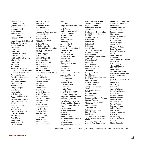Kenneth Knop Margery C. Knott Marjorie and Ralph Koldinger Lawrence Koplik Debra Koppman Malcolm Kottler Elliott Krefetz Nancy Kricorian and James Schamus Joseph B. and Rachel Kruskal Catherine Kubitschek Atsushi Kurokawa Kurt Kutay Onawa Lacy Carl E. Lantz Katharine W. Larsen Gail A. Lauzzana Judith and Joseph Leader John Lennie Lydia Leon Jim Leonard Jean LeRoy Richard M. Leventhal Sherman L. and Alison Lewis Mark and Helena Licalzi Yehudit Lieberman The Lifshutz Foundation Olga F. Linares Jacqueline Lindenfeld Christopher Lish Peter Lomhoff George Lovejoy Mary Lunt Nancy Lurie Lush Cosmetics Jason J. and Becca Macy- Moore Eric and Janet Madsen John Maher and Ellen Lauren M. Malcolm Eda Malenky Alan Mallach Chris and Carolynn Maltas Sarojam K. Mankau Allen Maret Peter Masters Jenny Masur Marilyn Matelski Lisa Matthews

Margaret S. Maurin Nelson Max Raymond A. Mayer Robert Mayer Marcella Mazzarelli Steven and Ursula Mcallister Valerie S. McBride Joe E. McCrea Julia McGaharan Daniel P. and Tammy McKanan Graham McKean Rachelle Mckenzie Richard and Deyne Meadow Nelder and Mariagnes<br>Medrud Betty J. Meggers Isa-Kae Meksin Michael Merrifield Jane Meyerding Marie Meyers-Lloyd Melva L. Mills Stefania Minervino Helaine Minkus William P. Mitchell Michael and Lillian S. Moats Ellen G. Moot Joan L. Muellner Elizabeth Musicant Salomon Nahmad Amy Neel Jan Nespor Sarah Neusius Carol Newell Janice E. Newman Barbara P. Norfleet Joan K. O'Donnell Stephen J. O'Donnell Joseph M. O'Neal Rollin Odell Phyllis Odiseos Suzanne Olbricht Sutti Ortiz Koch Yasuyuki Owada Abigail L. Paine Charles Palmer Eva Patten Henry Paulus Neenah E. Payne James and Florence F.

Peacock Anne Perls Paul D. Peterhans and Mary de Rosas Emily Peters Pauline E. and Mark Peters Barbara Peterson William O. Pick Sylvia Pigors Nora S. Plesofsky Jean Polgar John R. Pollard Jonathan Pool James H. and Karla Powell Joseph M. Prince Perry Prince Laura G. Putsche William B. Radcliffe Joelle Raichle Joanna Rankin Eleanor and Harmon Rasnow Claire Reinelt Joel Resnick Dave G. Rich Caralee and Fred Roberts Joyce and Steven D. Robinson Jo Raine Rodgers John P. Rogers Elizabeth A. Rose R. Thomas Rosin Barbara Rottier Dorothy Rupert Russell's Garden Center Charitable Foundation Jane and Morley Safer Sonya and Myron Salamon Samburu Legal Fund Manojkumar Saranathan Howard and Inge Sargent Mary Anne and Albert M. Carl Schachter Michael and Barbara<br>Schaefer Peggy Schear Norry Schneider Gail and Jonathan Schorsch Ann Schultz Tristan Scremin Thayer and Mary Scudder

Edwin and Marcia Segal Thomas K. Seligman Sayre P. Sheldon Catherine N. Shelton John Sherry Daniel B. and Sybil M. Silver David Silver and Darlene<br>Lorrain Adam Singerman David Slater Ruth Slater Katherine J. Smith D. N. Snarr John M. Snead Sappo Hill Soapworks Neal W. Sobania Mike Sowerby Pauline Spiegel and Peter Z. Grossman Miriam Stampfer Paul Stanley Linda Stanton Peter Stark-Tenny Burton Steck Jeri Steele Henry and Pamela Steiner Lynn Stephen David Stephenson and Lynn Musgraves Phillips Stevens William T. Stewart Andrew Stone John R. and Jeanne B. Stratford George and Helene E.<br>Strauss Donald D. Stull Shigeki Takeo Barbara and Dennis Tedlock Barbara Thomas Richmond H. and Sarah Thomason Kris Thompson Amy Thomson Patricia K. Townsend Steve Trimble Paul Tripathi John and Suzanne Trostle Tyrell Learning Resources Center University of Notre Dame Anthropology Department

Detlev and Dorothy Vagts Cornelia H. van der Ziel Alyssa Vass Charles C. Verharen Philip J. Vilardo Suzanne H. Vogel Michi Vojta Richard W. Von Korff C. M. Waag Randall Wade Charles Wagner Terri L. Waite Margaret Wallace Dana Walrath Gwen W. Wasicuna Paul Wehr Gene Weinstein Susan Weir Tom S. and Suzan Weisner Emily Wells Dolores Welty Alex and Margaret Wertheimer Doug Whalen Gretchen Whisenand Warner and Janet White Norman and Dorothea Whitten Kathy Widmer and Michael Zimmerman Robert Wild Steve Wiley Richard Wilk Yvonne Willemse Karen A. Willyoung Fiona Wilmot Barbara J. Wilson Andrew Windsor Matthew Wolf Edward Wolpow Carolyn Wood Graham S. Wood William Wood David Wyckoff Yoshiko Yamamoto Fred R. York Louise Young Susan E. Zarutskie David Ziemann Martin Zitnansky

\* Benefactor - (\$1,000.00 + ) Patron - (\$500-\$999) Sustainer (\$250-\$499) Sponsor (\$100-\$249)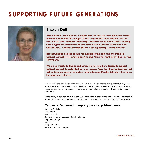# **S UPP OR T iNg F UT UR E gE NE R AT iONS**



### **Sharon Doll**

**When Sharon Doll of Lincoln, Nebraska first heard in the news about the threats to Indigenous People she thought,"It was tragic to lose these cultures since we have a lot to learn from their knowledge."After searching for non-profits working with Indigenous communities,Sharon came across Cultural Survival and liked what she saw. Twenty years later Sharon is still supporting Cultural Survival!**

**Recently,Sharon decided to take her support to the next step and included Cultural Survival in her estate plans.She says,"It is important to give back to your community."**

**We are so grateful to Sharon and others like her who have decided to support Cultural Survival through gifts from their estates.With their help,Cultural Survival will continue our mission to partner with Indigenous Peoples defending their lands, languages, and cultures.**

You can build the foundation of Cultural Survival and leave an important legacy for future generations. A gift from your estate, through a variety of estate planning vehicles such as wills, trusts, life insurance, and retirement assets, supports our mission while offering tax advantages to you and your family.

The following supporters have included Cultural Survival in their estate plans. We sincerely thank all of them for making such a significant gift to support the mission of Cultural Survival. **Thank you!**

### **Cultural Survival Legacy Soc iety Members**

James A. Baldwin Sharon Doll Louis Gecenok Dennis L. Holeman and Jeanette Sill-Holeman Stephen R. Judge Joan Lester Joseph M. O'Neal Jerome C. and Janet Regier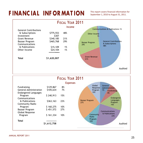# FINANCIAL INFORMATION This report covers financial information for

September 1, 2010 to August 31, 2011.



|                                                              |             | FISCAL YEAR 2011 |                              |                                  |
|--------------------------------------------------------------|-------------|------------------|------------------------------|----------------------------------|
|                                                              |             | <b>Expenses</b>  |                              |                                  |
| Fundraising                                                  | \$129,867   | 8%               | Global<br>Response           | General<br><b>Administration</b> |
| <b>General Administration</b><br><b>Endangered Languages</b> | \$105,634   | 7%               | Program<br>10%               | 7%<br><b>Fundraising</b><br>8%   |
| Program<br>Communications                                    | \$240,913   | 15%              |                              | Endangered                       |
| & Publications<br>Community Radio                            | \$363,163   | 23%              | <b>Bazaar Program</b><br>27% | Languages<br>Program<br>15%      |
| Program                                                      | \$160,275   | 10%              |                              |                                  |
| Bazaar Program<br>Global Response                            | \$451,572   | 27%              |                              | Communications                   |
| Program                                                      | \$161,334   | 10%              | Community<br>Radio           | & Publications<br>23%            |
| <b>Total</b>                                                 |             |                  | Program<br>10%               |                                  |
|                                                              | \$1,612,758 |                  |                              | Audited                          |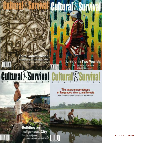

CULTURAL SURVIVAL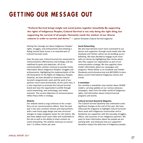# **gE T T iNg OUR ME S S AgE OUT**

**"Cultural Survival brings insight and social justice together beautifully. By supporting the rights of Indigenous Peoples, Cultural Survival is not only doing the right thing, but supporting the survival of all people. Humanity needs the wisdom of our diverse cultures in order to survive and thrive."** *—* Jeanne Grossetti, Cultural Survival supporter

Getting the message out about Indigenous Peoples' rights, struggles, and achievements and initiating a dialog around these issues is an essential part of Cultural Survival's work.

Over the past year, Cultural Survival has reassessed its communications effectiveness and strategy, and has redefined its goals and objectives. All of our communications vehicles continue to provide timely information about Indigenous Peoples' struggles and achievements, highlighting the implementation of the UN Declaration on the Rights of Indigenous Peoples. However, we have decided to showcase Cultural Survival's programmatic work and the work of our partners much more prominently. At the same time, it is also important to promote the Cultural Survival brand and raise the organization's profile through social networking, new technology, and media outreach. The current objectives of communications reflect these shifts in strategy.

#### **Website**

Our website (www.cs.org) continues to be a major focus of our communications efforts. Over the past year it has seen constant revision and improvement, with a new home page design and new structural changes to make navigation easier for site visitors. We also have added much more video and multimedia to the site as well as the ability to share content via social networking. The website continues to receive over 1.5 million visitors per year.

#### **Social Networking**

We also have become much more connected to our donors and supporters through social media sites like Facebook and Twitter, where we are building up our following. We have decided to engage much more with our donors by highlighting their stories about why they support our organization as part of our communications strategy. We also regularly share insider information about our campaigns and programs. Please follow us on Facebook and Twitter (facebook.com/culturalsurvival and @CSORG) to learn about current international Indigenous stories and trends.

#### **E-newsletter**

Our monthly e-newsletter now reaches about 20,000 readers, carrying updates on our various advocacy campaigns, news from the wider world of Indigenous rights, and information about Cultural Survival programs and events.

#### *Cultural Survival Quarterly* **Magazine**

The *Cultural Survival Quarterly* also underwent some significant changes at the end of this year. We have refocused the magazine to highlight Cultural Survival's direct work with Indigenous communities and to familiarize our supporters with the everyday struggles, efforts, and successes of our Indigenous partners. We want to share information about the people we are working with, and showcase how our supporters' donations impact the daily lives of Indigenous people.